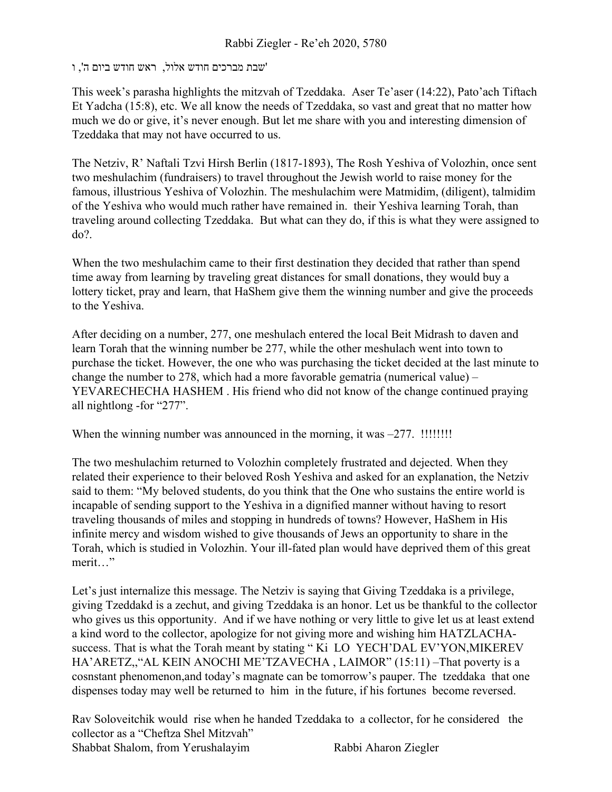## 'שבת מברכים חודש אלול, ראש חודש ביום ה', ו

This week's parasha highlights the mitzvah of Tzeddaka. Aser Te'aser (14:22), Pato'ach Tiftach Et Yadcha (15:8), etc. We all know the needs of Tzeddaka, so vast and great that no matter how much we do or give, it's never enough. But let me share with you and interesting dimension of Tzeddaka that may not have occurred to us.

The Netziv, R' Naftali Tzvi Hirsh Berlin (1817-1893), The Rosh Yeshiva of Volozhin, once sent two meshulachim (fundraisers) to travel throughout the Jewish world to raise money for the famous, illustrious Yeshiva of Volozhin. The meshulachim were Matmidim, (diligent), talmidim of the Yeshiva who would much rather have remained in. their Yeshiva learning Torah, than traveling around collecting Tzeddaka. But what can they do, if this is what they were assigned to do?.

When the two meshulachim came to their first destination they decided that rather than spend time away from learning by traveling great distances for small donations, they would buy a lottery ticket, pray and learn, that HaShem give them the winning number and give the proceeds to the Yeshiva.

After deciding on a number, 277, one meshulach entered the local Beit Midrash to daven and learn Torah that the winning number be 277, while the other meshulach went into town to purchase the ticket. However, the one who was purchasing the ticket decided at the last minute to change the number to 278, which had a more favorable gematria (numerical value) – YEVARECHECHA HASHEM . His friend who did not know of the change continued praying all nightlong -for "277".

When the winning number was announced in the morning, it was –277. !!!!!!!!

The two meshulachim returned to Volozhin completely frustrated and dejected. When they related their experience to their beloved Rosh Yeshiva and asked for an explanation, the Netziv said to them: "My beloved students, do you think that the One who sustains the entire world is incapable of sending support to the Yeshiva in a dignified manner without having to resort traveling thousands of miles and stopping in hundreds of towns? However, HaShem in His infinite mercy and wisdom wished to give thousands of Jews an opportunity to share in the Torah, which is studied in Volozhin. Your ill-fated plan would have deprived them of this great merit…"

Let's just internalize this message. The Netziv is saying that Giving Tzeddaka is a privilege, giving Tzeddakd is a zechut, and giving Tzeddaka is an honor. Let us be thankful to the collector who gives us this opportunity. And if we have nothing or very little to give let us at least extend a kind word to the collector, apologize for not giving more and wishing him HATZLACHAsuccess. That is what the Torah meant by stating " Ki LO YECH'DAL EV'YON,MIKEREV HA'ARETZ,,"AL KEIN ANOCHI ME'TZAVECHA , LAIMOR" (15:11) –That poverty is a cosnstant phenomenon,and today's magnate can be tomorrow's pauper. The tzeddaka that one dispenses today may well be returned to him in the future, if his fortunes become reversed.

Rav Soloveitchik would rise when he handed Tzeddaka to a collector, for he considered the collector as a "Cheftza Shel Mitzvah" Shabbat Shalom, from Yerushalayim Rabbi Aharon Ziegler